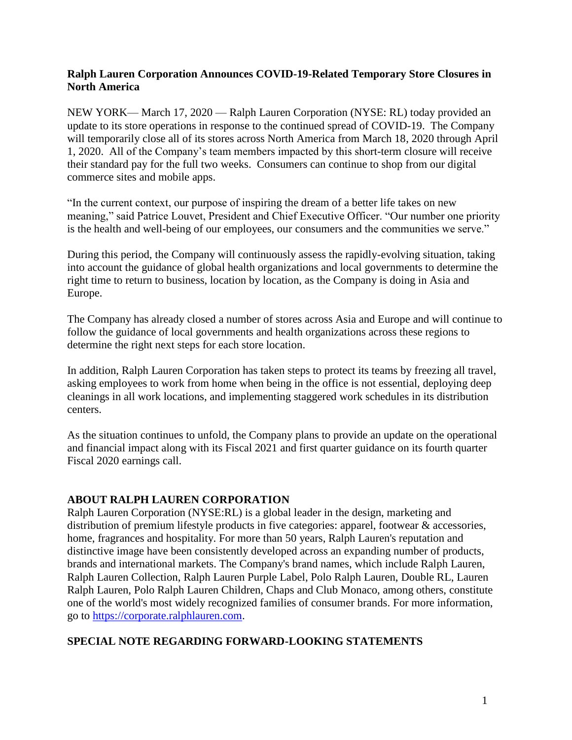## **Ralph Lauren Corporation Announces COVID-19-Related Temporary Store Closures in North America**

NEW YORK— March 17, 2020 — Ralph Lauren Corporation (NYSE: RL) today provided an update to its store operations in response to the continued spread of COVID-19. The Company will temporarily close all of its stores across North America from March 18, 2020 through April 1, 2020. All of the Company's team members impacted by this short-term closure will receive their standard pay for the full two weeks. Consumers can continue to shop from our digital commerce sites and mobile apps.

"In the current context, our purpose of inspiring the dream of a better life takes on new meaning," said Patrice Louvet, President and Chief Executive Officer. "Our number one priority is the health and well-being of our employees, our consumers and the communities we serve."

During this period, the Company will continuously assess the rapidly-evolving situation, taking into account the guidance of global health organizations and local governments to determine the right time to return to business, location by location, as the Company is doing in Asia and Europe.

The Company has already closed a number of stores across Asia and Europe and will continue to follow the guidance of local governments and health organizations across these regions to determine the right next steps for each store location.

In addition, Ralph Lauren Corporation has taken steps to protect its teams by freezing all travel, asking employees to work from home when being in the office is not essential, deploying deep cleanings in all work locations, and implementing staggered work schedules in its distribution centers.

As the situation continues to unfold, the Company plans to provide an update on the operational and financial impact along with its Fiscal 2021 and first quarter guidance on its fourth quarter Fiscal 2020 earnings call.

## **ABOUT RALPH LAUREN CORPORATION**

Ralph Lauren Corporation (NYSE:RL) is a global leader in the design, marketing and distribution of premium lifestyle products in five categories: apparel, footwear & accessories, home, fragrances and hospitality. For more than 50 years, Ralph Lauren's reputation and distinctive image have been consistently developed across an expanding number of products, brands and international markets. The Company's brand names, which include Ralph Lauren, Ralph Lauren Collection, Ralph Lauren Purple Label, Polo Ralph Lauren, Double RL, Lauren Ralph Lauren, Polo Ralph Lauren Children, Chaps and Club Monaco, among others, constitute one of the world's most widely recognized families of consumer brands. For more information, go to [https://corporate.ralphlauren.com.](https://corporate.ralphlauren.com/)

## **SPECIAL NOTE REGARDING FORWARD-LOOKING STATEMENTS**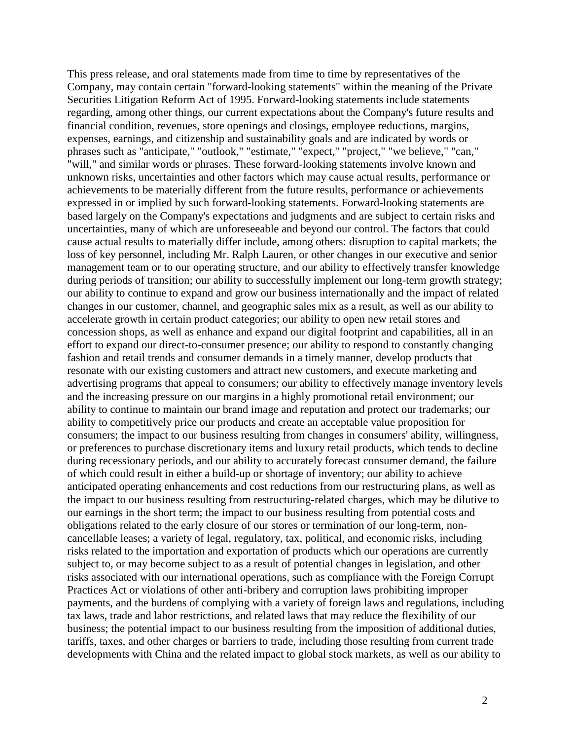This press release, and oral statements made from time to time by representatives of the Company, may contain certain "forward-looking statements" within the meaning of the Private Securities Litigation Reform Act of 1995. Forward-looking statements include statements regarding, among other things, our current expectations about the Company's future results and financial condition, revenues, store openings and closings, employee reductions, margins, expenses, earnings, and citizenship and sustainability goals and are indicated by words or phrases such as "anticipate," "outlook," "estimate," "expect," "project," "we believe," "can," "will," and similar words or phrases. These forward-looking statements involve known and unknown risks, uncertainties and other factors which may cause actual results, performance or achievements to be materially different from the future results, performance or achievements expressed in or implied by such forward-looking statements. Forward-looking statements are based largely on the Company's expectations and judgments and are subject to certain risks and uncertainties, many of which are unforeseeable and beyond our control. The factors that could cause actual results to materially differ include, among others: disruption to capital markets; the loss of key personnel, including Mr. Ralph Lauren, or other changes in our executive and senior management team or to our operating structure, and our ability to effectively transfer knowledge during periods of transition; our ability to successfully implement our long-term growth strategy; our ability to continue to expand and grow our business internationally and the impact of related changes in our customer, channel, and geographic sales mix as a result, as well as our ability to accelerate growth in certain product categories; our ability to open new retail stores and concession shops, as well as enhance and expand our digital footprint and capabilities, all in an effort to expand our direct-to-consumer presence; our ability to respond to constantly changing fashion and retail trends and consumer demands in a timely manner, develop products that resonate with our existing customers and attract new customers, and execute marketing and advertising programs that appeal to consumers; our ability to effectively manage inventory levels and the increasing pressure on our margins in a highly promotional retail environment; our ability to continue to maintain our brand image and reputation and protect our trademarks; our ability to competitively price our products and create an acceptable value proposition for consumers; the impact to our business resulting from changes in consumers' ability, willingness, or preferences to purchase discretionary items and luxury retail products, which tends to decline during recessionary periods, and our ability to accurately forecast consumer demand, the failure of which could result in either a build-up or shortage of inventory; our ability to achieve anticipated operating enhancements and cost reductions from our restructuring plans, as well as the impact to our business resulting from restructuring-related charges, which may be dilutive to our earnings in the short term; the impact to our business resulting from potential costs and obligations related to the early closure of our stores or termination of our long-term, noncancellable leases; a variety of legal, regulatory, tax, political, and economic risks, including risks related to the importation and exportation of products which our operations are currently subject to, or may become subject to as a result of potential changes in legislation, and other risks associated with our international operations, such as compliance with the Foreign Corrupt Practices Act or violations of other anti-bribery and corruption laws prohibiting improper payments, and the burdens of complying with a variety of foreign laws and regulations, including tax laws, trade and labor restrictions, and related laws that may reduce the flexibility of our business; the potential impact to our business resulting from the imposition of additional duties, tariffs, taxes, and other charges or barriers to trade, including those resulting from current trade developments with China and the related impact to global stock markets, as well as our ability to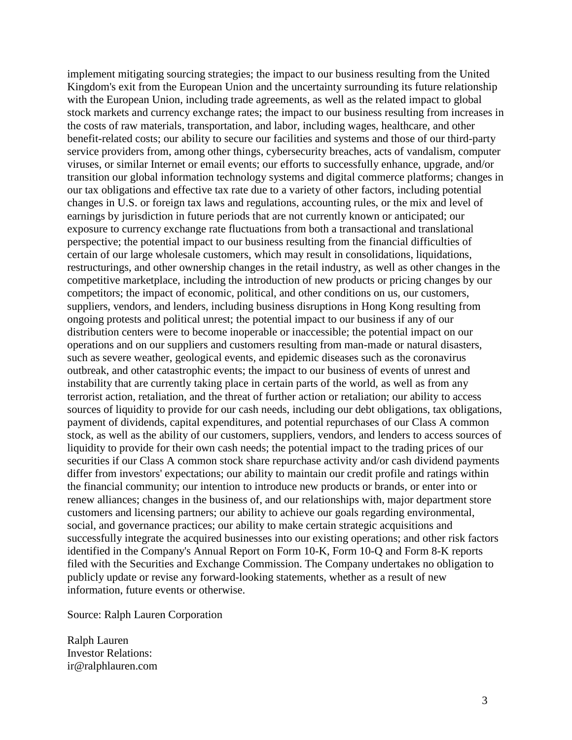implement mitigating sourcing strategies; the impact to our business resulting from the United Kingdom's exit from the European Union and the uncertainty surrounding its future relationship with the European Union, including trade agreements, as well as the related impact to global stock markets and currency exchange rates; the impact to our business resulting from increases in the costs of raw materials, transportation, and labor, including wages, healthcare, and other benefit-related costs; our ability to secure our facilities and systems and those of our third-party service providers from, among other things, cybersecurity breaches, acts of vandalism, computer viruses, or similar Internet or email events; our efforts to successfully enhance, upgrade, and/or transition our global information technology systems and digital commerce platforms; changes in our tax obligations and effective tax rate due to a variety of other factors, including potential changes in U.S. or foreign tax laws and regulations, accounting rules, or the mix and level of earnings by jurisdiction in future periods that are not currently known or anticipated; our exposure to currency exchange rate fluctuations from both a transactional and translational perspective; the potential impact to our business resulting from the financial difficulties of certain of our large wholesale customers, which may result in consolidations, liquidations, restructurings, and other ownership changes in the retail industry, as well as other changes in the competitive marketplace, including the introduction of new products or pricing changes by our competitors; the impact of economic, political, and other conditions on us, our customers, suppliers, vendors, and lenders, including business disruptions in Hong Kong resulting from ongoing protests and political unrest; the potential impact to our business if any of our distribution centers were to become inoperable or inaccessible; the potential impact on our operations and on our suppliers and customers resulting from man-made or natural disasters, such as severe weather, geological events, and epidemic diseases such as the coronavirus outbreak, and other catastrophic events; the impact to our business of events of unrest and instability that are currently taking place in certain parts of the world, as well as from any terrorist action, retaliation, and the threat of further action or retaliation; our ability to access sources of liquidity to provide for our cash needs, including our debt obligations, tax obligations, payment of dividends, capital expenditures, and potential repurchases of our Class A common stock, as well as the ability of our customers, suppliers, vendors, and lenders to access sources of liquidity to provide for their own cash needs; the potential impact to the trading prices of our securities if our Class A common stock share repurchase activity and/or cash dividend payments differ from investors' expectations; our ability to maintain our credit profile and ratings within the financial community; our intention to introduce new products or brands, or enter into or renew alliances; changes in the business of, and our relationships with, major department store customers and licensing partners; our ability to achieve our goals regarding environmental, social, and governance practices; our ability to make certain strategic acquisitions and successfully integrate the acquired businesses into our existing operations; and other risk factors identified in the Company's Annual Report on Form 10-K, Form 10-Q and Form 8-K reports filed with the Securities and Exchange Commission. The Company undertakes no obligation to publicly update or revise any forward-looking statements, whether as a result of new information, future events or otherwise.

Source: Ralph Lauren Corporation

Ralph Lauren Investor Relations: ir@ralphlauren.com